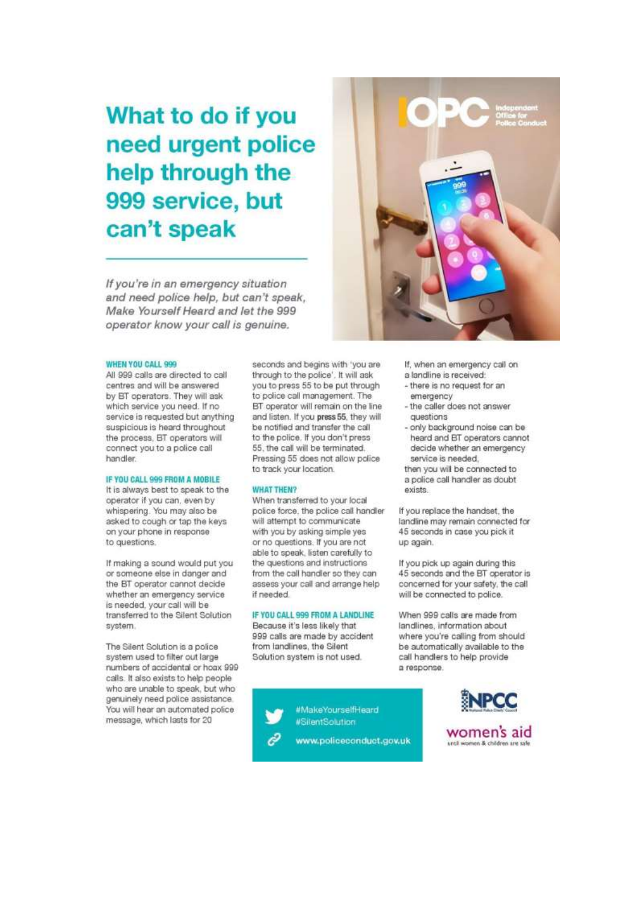# What to do if you need urgent police help through the 999 service, but can't speak

If you're in an emergency situation and need police help, but can't speak, Make Yourself Heard and let the 999 operator know your call is genuine.



All 999 calls are directed to call centres and will be answered by BT operators. They will ask which service you need. If no service is requested but anything suspicious is heard throughout the process, BT operators will connect you to a police call handler.

#### IF YOU CALL 999 FROM A MOBILE

It is always best to speak to the operator if you can, even by whispering. You may also be asked to cough or tap the keys on your phone in response to questions.

If making a sound would put you or someone else in danger and the BT operator cannot decide whether an emergency service is needed, your call will be transferred to the Silent Solution system.

The Silent Solution is a police system used to filter out large numbers of accidental or hoax 999 calls. It also exists to help people who are unable to speak, but who genuinely need police assistance. You will hear an automated police message, which lasts for 20

seconds and begins with 'you are through to the police', It will ask you to press 55 to be put through to police call management. The BT operator will remain on the line and listen. If you press 55, they will be notified and transfer the call to the police. If you don't press 55, the call will be terminated. Pressing 55 does not allow police to track your location.

#### **WHAT THEN?**

When transferred to your local police force, the police call handler will attempt to communicate with you by asking simple yes or no questions. If you are not able to speak, listen carefully to the questions and instructions from the call handler so they can assess your call and arrange help if needed.

#### IF YOU CALL 999 FROM A LANDLINE

Because it's less likely that 999 calls are made by accident from landlines, the Silent Solution system is not used.





- If, when an emergency call on a landline is received:
- there is no request for an
- emergency - the caller does not answer
- questions
- only background noise can be heard and BT operators cannot decide whether an emergency service is needed.
- then you will be connected to a police call handler as doubt exists

If you replace the handset, the landline may remain connected for 45 seconds in case you pick it up again.

If you pick up again during this 45 seconds and the BT operator is concerned for your safety, the call will be connected to police.

When 999 calls are made from landlines, information about where you're calling from should be automatically available to the call handlers to help provide a response.

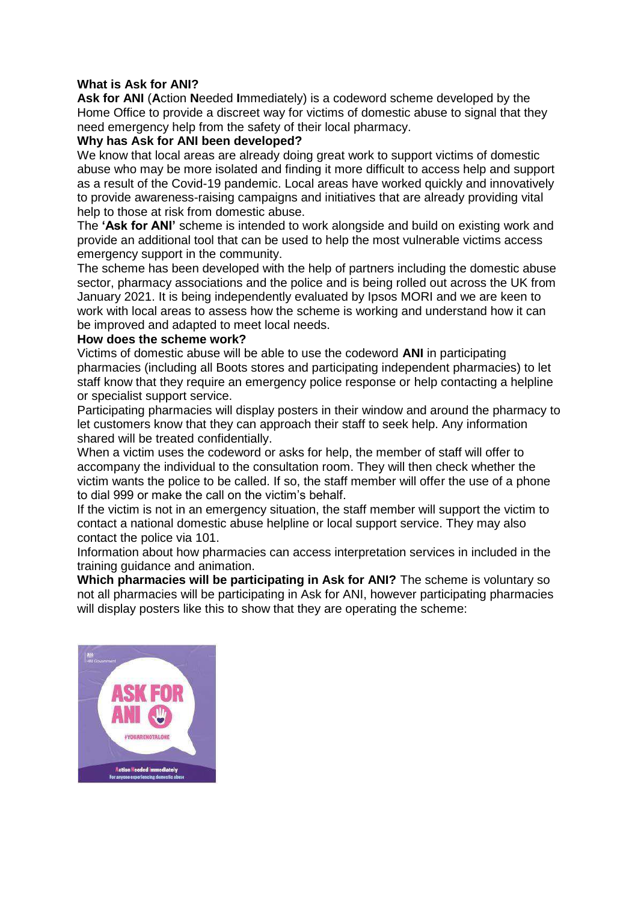## **What is Ask for ANI?**

**Ask for ANI** (**A**ction **N**eeded **I**mmediately) is a codeword scheme developed by the Home Office to provide a discreet way for victims of domestic abuse to signal that they need emergency help from the safety of their local pharmacy.

## **Why has Ask for ANI been developed?**

We know that local areas are already doing great work to support victims of domestic abuse who may be more isolated and finding it more difficult to access help and support as a result of the Covid-19 pandemic. Local areas have worked quickly and innovatively to provide awareness-raising campaigns and initiatives that are already providing vital help to those at risk from domestic abuse.

The **'Ask for ANI'** scheme is intended to work alongside and build on existing work and provide an additional tool that can be used to help the most vulnerable victims access emergency support in the community.

The scheme has been developed with the help of partners including the domestic abuse sector, pharmacy associations and the police and is being rolled out across the UK from January 2021. It is being independently evaluated by Ipsos MORI and we are keen to work with local areas to assess how the scheme is working and understand how it can be improved and adapted to meet local needs.

#### **How does the scheme work?**

Victims of domestic abuse will be able to use the codeword **ANI** in participating pharmacies (including all Boots stores and participating independent pharmacies) to let staff know that they require an emergency police response or help contacting a helpline or specialist support service.

Participating pharmacies will display posters in their window and around the pharmacy to let customers know that they can approach their staff to seek help. Any information shared will be treated confidentially.

When a victim uses the codeword or asks for help, the member of staff will offer to accompany the individual to the consultation room. They will then check whether the victim wants the police to be called. If so, the staff member will offer the use of a phone to dial 999 or make the call on the victim's behalf.

If the victim is not in an emergency situation, the staff member will support the victim to contact a national domestic abuse helpline or local support service. They may also contact the police via 101.

Information about how pharmacies can access interpretation services in included in the training guidance and animation.

**Which pharmacies will be participating in Ask for ANI?** The scheme is voluntary so not all pharmacies will be participating in Ask for ANI, however participating pharmacies will display posters like this to show that they are operating the scheme:

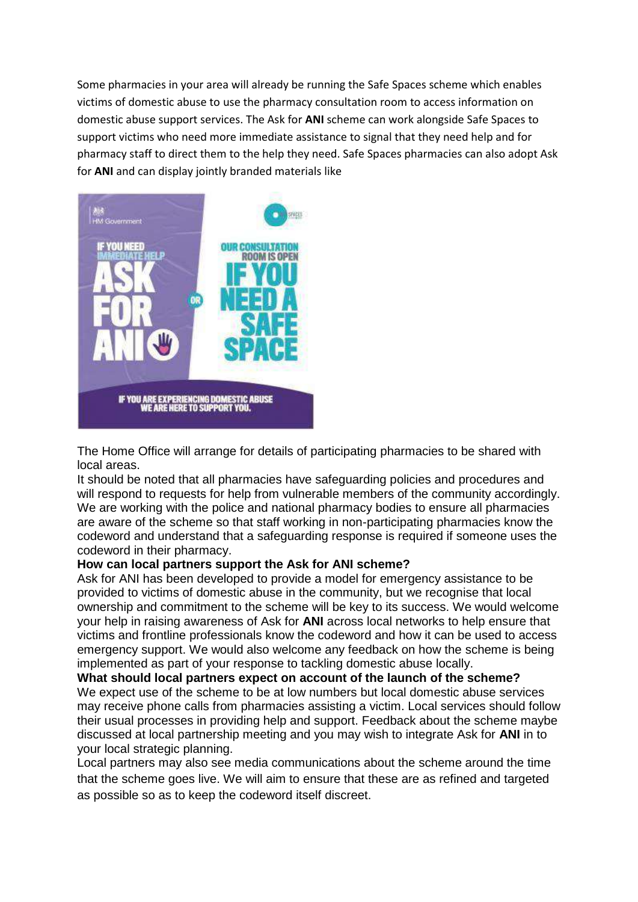Some pharmacies in your area will already be running the Safe Spaces scheme which enables victims of domestic abuse to use the pharmacy consultation room to access information on domestic abuse support services. The Ask for **ANI** scheme can work alongside Safe Spaces to support victims who need more immediate assistance to signal that they need help and for pharmacy staff to direct them to the help they need. Safe Spaces pharmacies can also adopt Ask for **ANI** and can display jointly branded materials like



The Home Office will arrange for details of participating pharmacies to be shared with local areas.

It should be noted that all pharmacies have safeguarding policies and procedures and will respond to requests for help from vulnerable members of the community accordingly. We are working with the police and national pharmacy bodies to ensure all pharmacies are aware of the scheme so that staff working in non-participating pharmacies know the codeword and understand that a safeguarding response is required if someone uses the codeword in their pharmacy.

#### **How can local partners support the Ask for ANI scheme?**

Ask for ANI has been developed to provide a model for emergency assistance to be provided to victims of domestic abuse in the community, but we recognise that local ownership and commitment to the scheme will be key to its success. We would welcome your help in raising awareness of Ask for **ANI** across local networks to help ensure that victims and frontline professionals know the codeword and how it can be used to access emergency support. We would also welcome any feedback on how the scheme is being implemented as part of your response to tackling domestic abuse locally.

**What should local partners expect on account of the launch of the scheme?**  We expect use of the scheme to be at low numbers but local domestic abuse services may receive phone calls from pharmacies assisting a victim. Local services should follow their usual processes in providing help and support. Feedback about the scheme maybe discussed at local partnership meeting and you may wish to integrate Ask for **ANI** in to your local strategic planning.

Local partners may also see media communications about the scheme around the time that the scheme goes live. We will aim to ensure that these are as refined and targeted as possible so as to keep the codeword itself discreet.